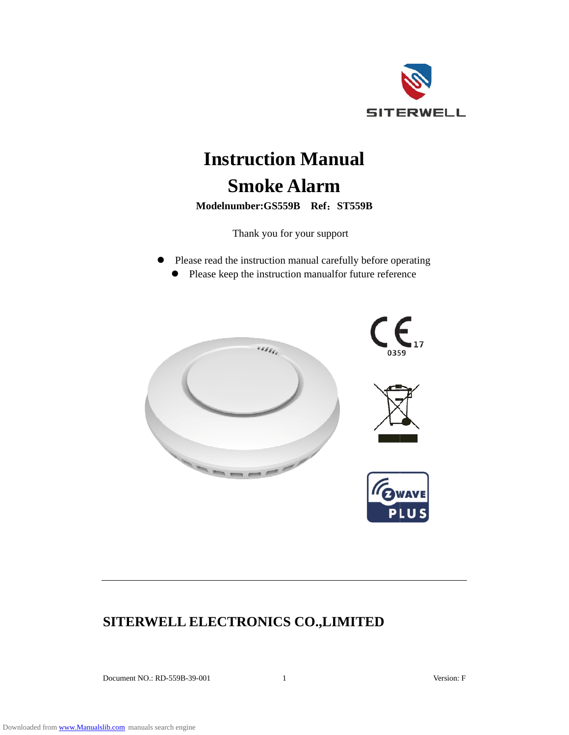

# **Instruction Manual Smoke Alarm**

**Mod delnumber r:GS559B Ref**:**ST5 559B**

Thank you for your support

 $\bullet$ Please read the instruction manual carefully before operating • Please keep the instruction manualfor future reference



# **SITERWELL ELECTRONICS CO.,LIMITED**

Docu ment NO.: RD D-559B-39-001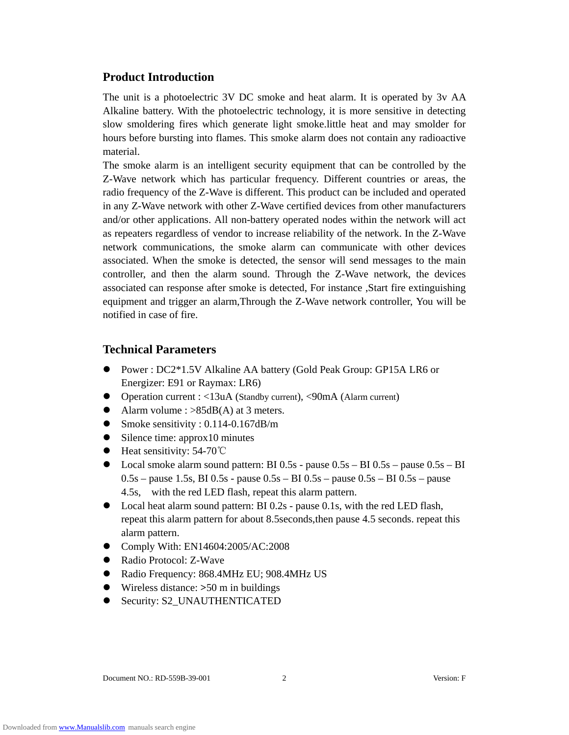# **Product Introduction**

The unit is a photoelectric 3V DC smoke and heat alarm. It is operated by 3v AA Alkaline battery. With the photoelectric technology, it is more sensitive in detecting slow smoldering fires which generate light smoke.little heat and may smolder for hours before bursting into flames. This smoke alarm does not contain any radioactive material.

The smoke alarm is an intelligent security equipment that can be controlled by the Z-Wave network which has particular frequency. Different countries or areas, the radio frequency of the Z-Wave is different. This product can be included and operated in any Z-Wave network with other Z-Wave certified devices from other manufacturers and/or other applications. All non-battery operated nodes within the network will act as repeaters regardless of vendor to increase reliability of the network. In the Z-Wave network communications, the smoke alarm can communicate with other devices associated. When the smoke is detected, the sensor will send messages to the main controller, and then the alarm sound. Through the Z-Wave network, the devices associated can response after smoke is detected, For instance ,Start fire extinguishing equipment and trigger an alarm,Through the Z-Wave network controller, You will be notified in case of fire.

# **Technical Parameters**

- Power : DC2\*1.5V Alkaline AA battery (Gold Peak Group: GP15A LR6 or Energizer: E91 or Raymax: LR6)
- Operation current : <13uA (Standby current), <90mA (Alarm current)
- Alarm volume :  $>85dB(A)$  at 3 meters.
- Smoke sensitivity : 0.114-0.167dB/m
- Silence time: approx10 minutes
- Heat sensitivity: 54-70℃
- $\bullet$  Local smoke alarm sound pattern: BI 0.5s pause 0.5s BI 0.5s pause 0.5s BI  $0.5s$  – pause 1.5s, BI 0.5s - pause  $0.5s$  – BI  $0.5s$  – pause  $0.5s$  – BI  $0.5s$  – pause 4.5s, with the red LED flash, repeat this alarm pattern.
- Local heat alarm sound pattern: BI 0.2s pause 0.1s, with the red LED flash, repeat this alarm pattern for about 8.5seconds,then pause 4.5 seconds. repeat this alarm pattern.
- Comply With: EN14604:2005/AC:2008
- Radio Protocol: Z-Wave
- Radio Frequency: 868.4MHz EU; 908.4MHz US
- Wireless distance: **>**50 m in buildings
- Security: S2\_UNAUTHENTICATED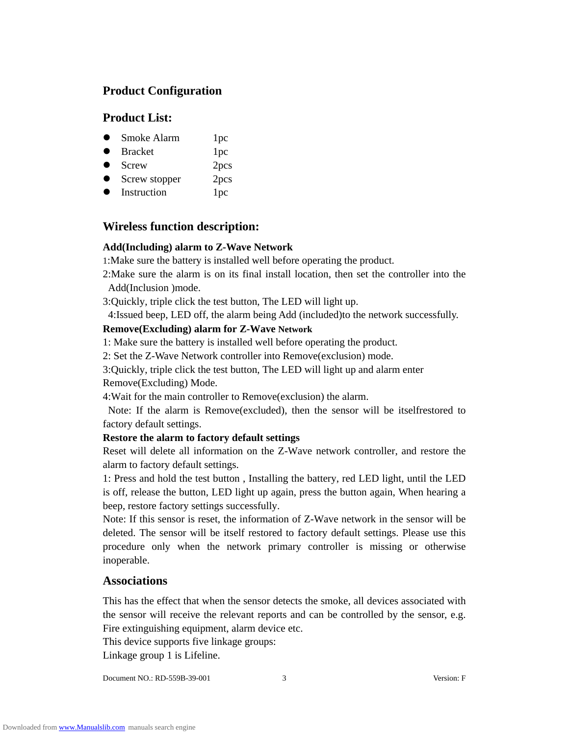# **Product Configuration**

# **Product List:**

- Smoke Alarm 1pc
- Bracket 1pc
- Screw 2pcs
- Screw stopper 2pcs
- Instruction 1pc

# **Wireless function description:**

#### **Add(Including) alarm to Z-Wave Network**

1:Make sure the battery is installed well before operating the product.

2:Make sure the alarm is on its final install location, then set the controller into the Add(Inclusion )mode.

3:Quickly, triple click the test button, The LED will light up.

4:Issued beep, LED off, the alarm being Add (included)to the network successfully.

#### **Remove(Excluding) alarm for Z-Wave Network**

1: Make sure the battery is installed well before operating the product.

2: Set the Z-Wave Network controller into Remove(exclusion) mode.

3:Quickly, triple click the test button, The LED will light up and alarm enter Remove(Excluding) Mode.

4:Wait for the main controller to Remove(exclusion) the alarm.

Note: If the alarm is Remove(excluded), then the sensor will be itselfrestored to factory default settings.

#### **Restore the alarm to factory default settings**

Reset will delete all information on the Z-Wave network controller, and restore the alarm to factory default settings.

1: Press and hold the test button , Installing the battery, red LED light, until the LED is off, release the button, LED light up again, press the button again, When hearing a beep, restore factory settings successfully.

Note: If this sensor is reset, the information of Z-Wave network in the sensor will be deleted. The sensor will be itself restored to factory default settings. Please use this procedure only when the network primary controller is missing or otherwise inoperable.

# **Associations**

This has the effect that when the sensor detects the smoke, all devices associated with the sensor will receive the relevant reports and can be controlled by the sensor, e.g. Fire extinguishing equipment, alarm device etc.

This device supports five linkage groups:

Linkage group 1 is Lifeline.

Document NO.: RD-559B-39-001 3 Version: F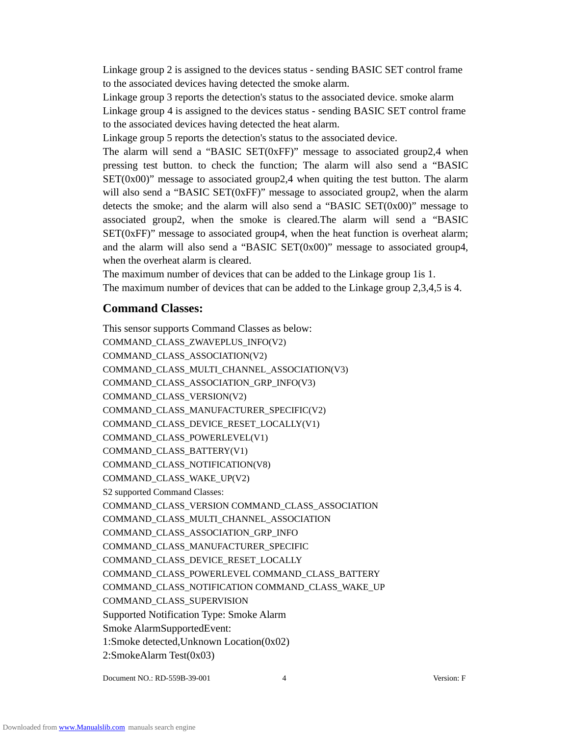Linkage group 2 is assigned to the devices status - sending BASIC SET control frame to the associated devices having detected the smoke alarm.

Linkage group 3 reports the detection's status to the associated device. smoke alarm Linkage group 4 is assigned to the devices status - sending BASIC SET control frame to the associated devices having detected the heat alarm.

Linkage group 5 reports the detection's status to the associated device.

The alarm will send a "BASIC SET(0xFF)" message to associated group2,4 when pressing test button. to check the function; The alarm will also send a "BASIC  $SET(0x00)$ " message to associated group2,4 when quiting the test button. The alarm will also send a "BASIC SET(0xFF)" message to associated group2, when the alarm detects the smoke; and the alarm will also send a "BASIC SET $(0x00)$ " message to associated group2, when the smoke is cleared.The alarm will send a "BASIC  $SET(0xF)$ " message to associated group4, when the heat function is overheat alarm; and the alarm will also send a "BASIC SET $(0x00)$ " message to associated group4, when the overheat alarm is cleared.

The maximum number of devices that can be added to the Linkage group 1is 1. The maximum number of devices that can be added to the Linkage group 2,3,4,5 is 4.

# **Command Classes:**

This sensor supports Command Classes as below: COMMAND\_CLASS\_ZWAVEPLUS\_INFO(V2) COMMAND\_CLASS\_ASSOCIATION(V2) COMMAND\_CLASS\_MULTI\_CHANNEL\_ASSOCIATION(V3) COMMAND\_CLASS\_ASSOCIATION\_GRP\_INFO(V3) COMMAND\_CLASS\_VERSION(V2) COMMAND\_CLASS\_MANUFACTURER\_SPECIFIC(V2) COMMAND\_CLASS\_DEVICE\_RESET\_LOCALLY(V1) COMMAND\_CLASS\_POWERLEVEL(V1) COMMAND\_CLASS\_BATTERY(V1) COMMAND\_CLASS\_NOTIFICATION(V8) COMMAND\_CLASS\_WAKE\_UP(V2) S2 supported Command Classes: COMMAND\_CLASS\_VERSION COMMAND\_CLASS\_ASSOCIATION COMMAND\_CLASS\_MULTI\_CHANNEL\_ASSOCIATION COMMAND\_CLASS\_ASSOCIATION\_GRP\_INFO COMMAND\_CLASS\_MANUFACTURER\_SPECIFIC COMMAND\_CLASS\_DEVICE\_RESET\_LOCALLY COMMAND\_CLASS\_POWERLEVEL COMMAND\_CLASS\_BATTERY COMMAND\_CLASS\_NOTIFICATION COMMAND\_CLASS\_WAKE\_UP COMMAND\_CLASS\_SUPERVISION Supported Notification Type: Smoke Alarm Smoke AlarmSupportedEvent: 1:Smoke detected,Unknown Location(0x02) 2:SmokeAlarm Test(0x03)

Document NO.: RD-559B-39-001 4 Version: F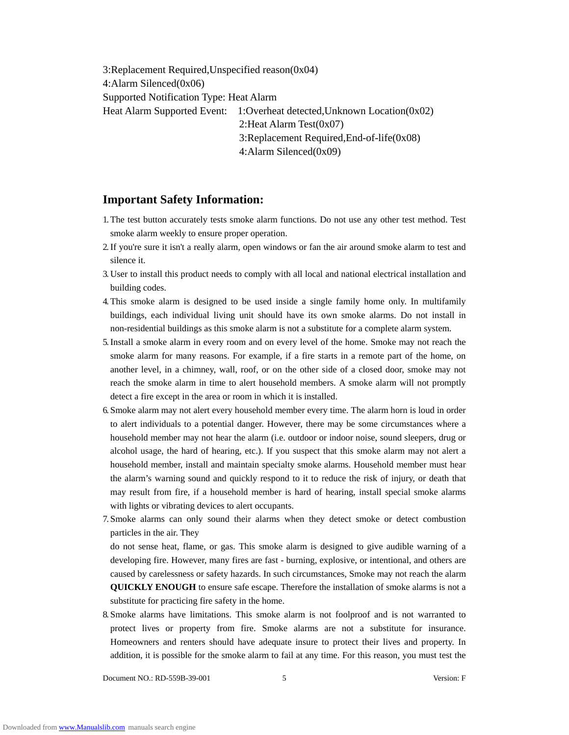3:Replacement Required,Unspecified reason(0x04) 4:Alarm Silenced(0x06) Supported Notification Type: Heat Alarm Heat Alarm Supported Event: 1:Overheat detected, Unknown Location(0x02) 2:Heat Alarm Test(0x07) 3:Replacement Required,End-of-life(0x08) 4:Alarm Silenced(0x09)

# **Important Safety Information:**

- 1. The test button accurately tests smoke alarm functions. Do not use any other test method. Test smoke alarm weekly to ensure proper operation.
- 2.If you're sure it isn't a really alarm, open windows or fan the air around smoke alarm to test and silence it.
- 3. User to install this product needs to comply with all local and national electrical installation and building codes.
- 4. This smoke alarm is designed to be used inside a single family home only. In multifamily buildings, each individual living unit should have its own smoke alarms. Do not install in non-residential buildings as this smoke alarm is not a substitute for a complete alarm system.
- 5.Install a smoke alarm in every room and on every level of the home. Smoke may not reach the smoke alarm for many reasons. For example, if a fire starts in a remote part of the home, on another level, in a chimney, wall, roof, or on the other side of a closed door, smoke may not reach the smoke alarm in time to alert household members. A smoke alarm will not promptly detect a fire except in the area or room in which it is installed.
- 6. Smoke alarm may not alert every household member every time. The alarm horn is loud in order to alert individuals to a potential danger. However, there may be some circumstances where a household member may not hear the alarm (i.e. outdoor or indoor noise, sound sleepers, drug or alcohol usage, the hard of hearing, etc.). If you suspect that this smoke alarm may not alert a household member, install and maintain specialty smoke alarms. Household member must hear the alarm's warning sound and quickly respond to it to reduce the risk of injury, or death that may result from fire, if a household member is hard of hearing, install special smoke alarms with lights or vibrating devices to alert occupants.
- 7. Smoke alarms can only sound their alarms when they detect smoke or detect combustion particles in the air. They do not sense heat, flame, or gas. This smoke alarm is designed to give audible warning of a developing fire. However, many fires are fast - burning, explosive, or intentional, and others are

caused by carelessness or safety hazards. In such circumstances, Smoke may not reach the alarm **QUICKLY ENOUGH** to ensure safe escape. Therefore the installation of smoke alarms is not a substitute for practicing fire safety in the home.

8. Smoke alarms have limitations. This smoke alarm is not foolproof and is not warranted to protect lives or property from fire. Smoke alarms are not a substitute for insurance. Homeowners and renters should have adequate insure to protect their lives and property. In addition, it is possible for the smoke alarm to fail at any time. For this reason, you must test the

Document NO.: RD-559B-39-001 5 Version: F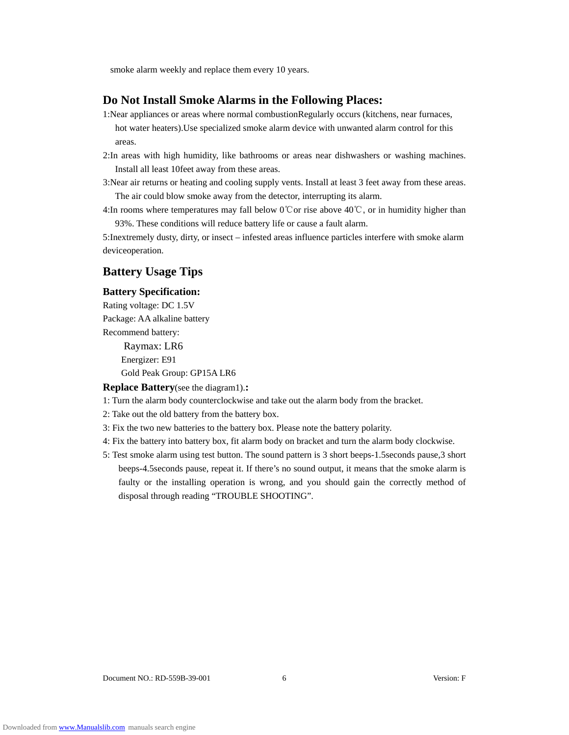smoke alarm weekly and replace them every 10 years.

#### **Do Not Install Smoke Alarms in the Following Places:**

- 1:Near appliances or areas where normal combustionRegularly occurs (kitchens, near furnaces, hot water heaters).Use specialized smoke alarm device with unwanted alarm control for this areas.
- 2:In areas with high humidity, like bathrooms or areas near dishwashers or washing machines. Install all least 10feet away from these areas.
- 3:Near air returns or heating and cooling supply vents. Install at least 3 feet away from these areas. The air could blow smoke away from the detector, interrupting its alarm.

4:In rooms where temperatures may fall below 0℃or rise above 40℃, or in humidity higher than 93%. These conditions will reduce battery life or cause a fault alarm.

5:Inextremely dusty, dirty, or insect – infested areas influence particles interfere with smoke alarm deviceoperation.

# **Battery Usage Tips**

#### **Battery Specification:**

Rating voltage: DC 1.5V Package: AA alkaline battery Recommend battery:

> Raymax: LR6 Energizer: E91

Gold Peak Group: GP15A LR6

**Replace Battery**(see the diagram1).**:** 

- 1: Turn the alarm body counterclockwise and take out the alarm body from the bracket.
- 2: Take out the old battery from the battery box.
- 3: Fix the two new batteries to the battery box. Please note the battery polarity.
- 4: Fix the battery into battery box, fit alarm body on bracket and turn the alarm body clockwise.
- 5: Test smoke alarm using test button. The sound pattern is 3 short beeps-1.5seconds pause,3 short beeps-4.5seconds pause, repeat it. If there's no sound output, it means that the smoke alarm is faulty or the installing operation is wrong, and you should gain the correctly method of disposal through reading "TROUBLE SHOOTING".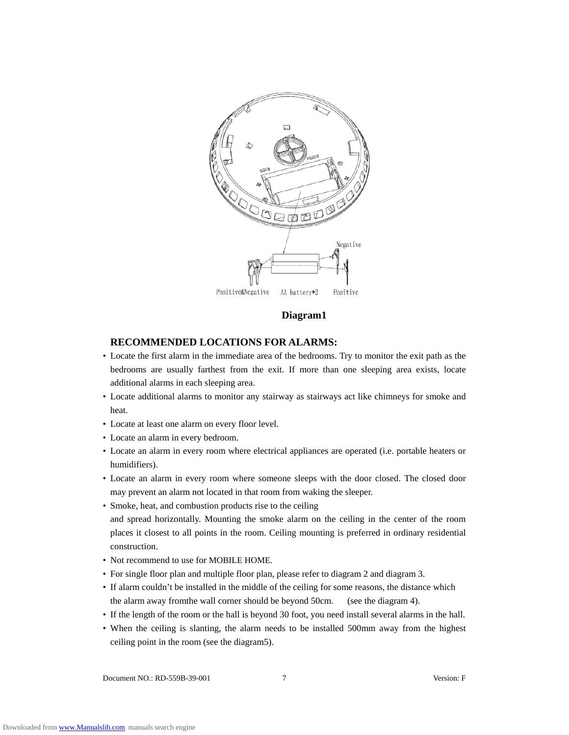

#### **Diagram1**

#### **RECOMMENDED LOCATIONS FOR ALARMS:**

- Locate the first alarm in the immediate area of the bedrooms. Try to monitor the exit path as the bedrooms are usually farthest from the exit. If more than one sleeping area exists, locate additional alarms in each sleeping area.
- Locate additional alarms to monitor any stairway as stairways act like chimneys for smoke and heat.
- Locate at least one alarm on every floor level.
- Locate an alarm in every bedroom.
- Locate an alarm in every room where electrical appliances are operated (i.e. portable heaters or humidifiers).
- Locate an alarm in every room where someone sleeps with the door closed. The closed door may prevent an alarm not located in that room from waking the sleeper.
- Smoke, heat, and combustion products rise to the ceiling and spread horizontally. Mounting the smoke alarm on the ceiling in the center of the room places it closest to all points in the room. Ceiling mounting is preferred in ordinary residential construction.
- Not recommend to use for MOBILE HOME.
- For single floor plan and multiple floor plan, please refer to diagram 2 and diagram 3.
- If alarm couldn't be installed in the middle of the ceiling for some reasons, the distance which the alarm away fromthe wall corner should be beyond 50cm. (see the diagram 4).
- If the length of the room or the hall is beyond 30 foot, you need install several alarms in the hall.
- When the ceiling is slanting, the alarm needs to be installed 500mm away from the highest ceiling point in the room (see the diagram5).

Document NO.: RD-559B-39-001 7 Version: F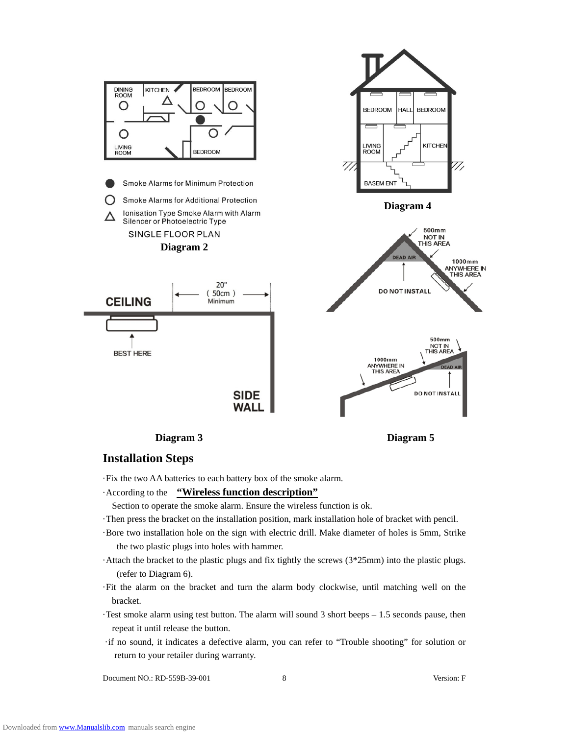

#### **Installation Steps**

·Fix the two AA batteries to each battery box of the smoke alarm.

#### ·According to the **"Wireless function description"**

Section to operate the smoke alarm. Ensure the wireless function is ok.

- ·Then press the bracket on the installation position, mark installation hole of bracket with pencil.
- ·Bore two installation hole on the sign with electric drill. Make diameter of holes is 5mm, Strike the two plastic plugs into holes with hammer.
- ·Attach the bracket to the plastic plugs and fix tightly the screws (3\*25mm) into the plastic plugs. (refer to Diagram 6).
- ·Fit the alarm on the bracket and turn the alarm body clockwise, until matching well on the bracket.
- ·Test smoke alarm using test button. The alarm will sound 3 short beeps 1.5 seconds pause, then repeat it until release the button.
- ·if no sound, it indicates a defective alarm, you can refer to "Trouble shooting" for solution or return to your retailer during warranty.

Document NO.: RD-559B-39-001 8 Version: F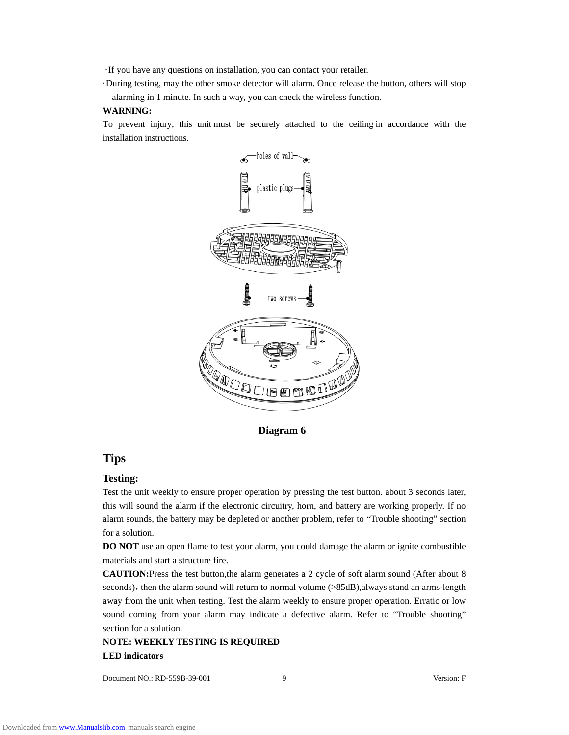·If you have any questions on installation, you can contact your retailer.

·During testing, may the other smoke detector will alarm. Once release the button, others will stop alarming in 1 minute. In such a way, you can check the wireless function.

#### **WARNING:**

To prevent injury, this unit must be securely attached to the ceiling in accordance with the installation instructions.



**Diagram 6**

#### **Tips**

#### **Testing:**

Test the unit weekly to ensure proper operation by pressing the test button. about 3 seconds later, this will sound the alarm if the electronic circuitry, horn, and battery are working properly. If no alarm sounds, the battery may be depleted or another problem, refer to "Trouble shooting" section for a solution.

**DO NOT** use an open flame to test your alarm, you could damage the alarm or ignite combustible materials and start a structure fire.

**CAUTION:**Press the test button,the alarm generates a 2 cycle of soft alarm sound (After about 8 seconds), then the alarm sound will return to normal volume  $(>85dB)$ , always stand an arms-length away from the unit when testing. Test the alarm weekly to ensure proper operation. Erratic or low sound coming from your alarm may indicate a defective alarm. Refer to "Trouble shooting" section for a solution.

# **NOTE: WEEKLY TESTING IS REQUIRED LED indicators**

Document NO.: RD-559B-39-001 9 Version: F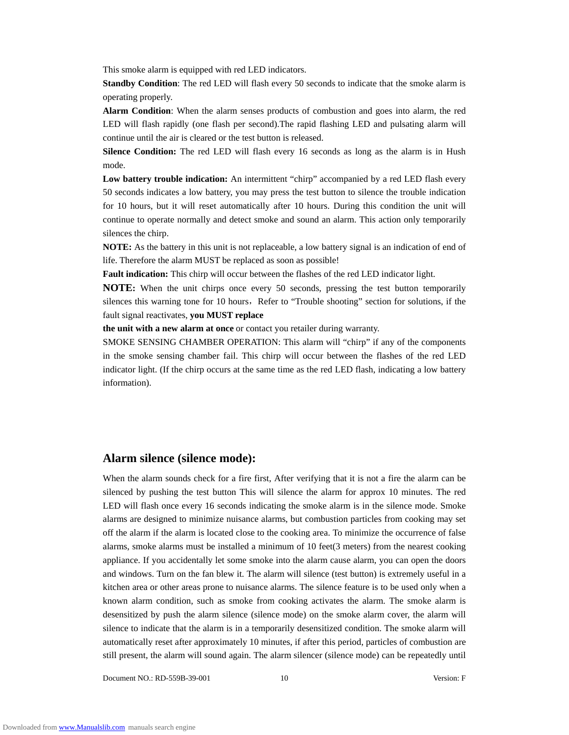This smoke alarm is equipped with red LED indicators.

**Standby Condition**: The red LED will flash every 50 seconds to indicate that the smoke alarm is operating properly.

**Alarm Condition**: When the alarm senses products of combustion and goes into alarm, the red LED will flash rapidly (one flash per second).The rapid flashing LED and pulsating alarm will continue until the air is cleared or the test button is released.

**Silence Condition:** The red LED will flash every 16 seconds as long as the alarm is in Hush mode.

**Low battery trouble indication:** An intermittent "chirp" accompanied by a red LED flash every 50 seconds indicates a low battery, you may press the test button to silence the trouble indication for 10 hours, but it will reset automatically after 10 hours. During this condition the unit will continue to operate normally and detect smoke and sound an alarm. This action only temporarily silences the chirp.

**NOTE:** As the battery in this unit is not replaceable, a low battery signal is an indication of end of life. Therefore the alarm MUST be replaced as soon as possible!

**Fault indication:** This chirp will occur between the flashes of the red LED indicator light.

**NOTE:** When the unit chirps once every 50 seconds, pressing the test button temporarily silences this warning tone for 10 hours, Refer to "Trouble shooting" section for solutions, if the fault signal reactivates, **you MUST replace** 

**the unit with a new alarm at once** or contact you retailer during warranty.

SMOKE SENSING CHAMBER OPERATION: This alarm will "chirp" if any of the components in the smoke sensing chamber fail. This chirp will occur between the flashes of the red LED indicator light. (If the chirp occurs at the same time as the red LED flash, indicating a low battery information).

#### **Alarm silence (silence mode):**

When the alarm sounds check for a fire first, After verifying that it is not a fire the alarm can be silenced by pushing the test button This will silence the alarm for approx 10 minutes. The red LED will flash once every 16 seconds indicating the smoke alarm is in the silence mode. Smoke alarms are designed to minimize nuisance alarms, but combustion particles from cooking may set off the alarm if the alarm is located close to the cooking area. To minimize the occurrence of false alarms, smoke alarms must be installed a minimum of 10 feet(3 meters) from the nearest cooking appliance. If you accidentally let some smoke into the alarm cause alarm, you can open the doors and windows. Turn on the fan blew it. The alarm will silence (test button) is extremely useful in a kitchen area or other areas prone to nuisance alarms. The silence feature is to be used only when a known alarm condition, such as smoke from cooking activates the alarm. The smoke alarm is desensitized by push the alarm silence (silence mode) on the smoke alarm cover, the alarm will silence to indicate that the alarm is in a temporarily desensitized condition. The smoke alarm will automatically reset after approximately 10 minutes, if after this period, particles of combustion are still present, the alarm will sound again. The alarm silencer (silence mode) can be repeatedly until

Document NO.: RD-559B-39-001 10 Version: F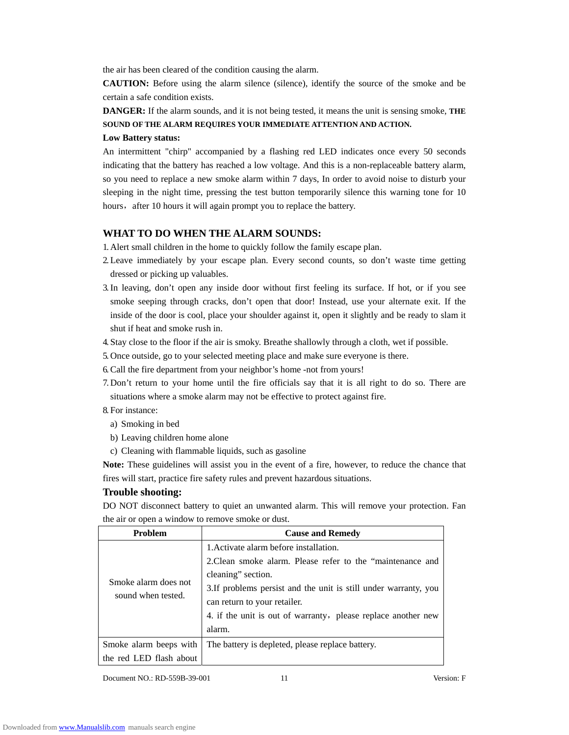the air has been cleared of the condition causing the alarm.

**CAUTION:** Before using the alarm silence (silence), identify the source of the smoke and be certain a safe condition exists.

**DANGER:** If the alarm sounds, and it is not being tested, it means the unit is sensing smoke, **THE SOUND OF THE ALARM REQUIRES YOUR IMMEDIATE ATTENTION AND ACTION.** 

#### **Low Battery status:**

An intermittent "chirp" accompanied by a flashing red LED indicates once every 50 seconds indicating that the battery has reached a low voltage. And this is a non-replaceable battery alarm, so you need to replace a new smoke alarm within 7 days, In order to avoid noise to disturb your sleeping in the night time, pressing the test button temporarily silence this warning tone for 10 hours, after 10 hours it will again prompt you to replace the battery.

#### **WHAT TO DO WHEN THE ALARM SOUNDS:**

1. Alert small children in the home to quickly follow the family escape plan.

- 2. Leave immediately by your escape plan. Every second counts, so don't waste time getting dressed or picking up valuables.
- 3.In leaving, don't open any inside door without first feeling its surface. If hot, or if you see smoke seeping through cracks, don't open that door! Instead, use your alternate exit. If the inside of the door is cool, place your shoulder against it, open it slightly and be ready to slam it shut if heat and smoke rush in.
- 4. Stay close to the floor if the air is smoky. Breathe shallowly through a cloth, wet if possible.
- 5. Once outside, go to your selected meeting place and make sure everyone is there.
- 6.Call the fire department from your neighbor's home -not from yours!
- 7. Don't return to your home until the fire officials say that it is all right to do so. There are situations where a smoke alarm may not be effective to protect against fire.
- 8. For instance:
	- a) Smoking in bed
	- b) Leaving children home alone
	- c) Cleaning with flammable liquids, such as gasoline

**Note:** These guidelines will assist you in the event of a fire, however, to reduce the chance that fires will start, practice fire safety rules and prevent hazardous situations.

#### **Trouble shooting:**

DO NOT disconnect battery to quiet an unwanted alarm. This will remove your protection. Fan the air or open a window to remove smoke or dust.

| <b>Problem</b>                             | <b>Cause and Remedy</b>                                                                                                                                                                                                                                                                                   |
|--------------------------------------------|-----------------------------------------------------------------------------------------------------------------------------------------------------------------------------------------------------------------------------------------------------------------------------------------------------------|
| Smoke alarm does not<br>sound when tested. | 1. Activate alarm before installation.<br>2. Clean smoke alarm. Please refer to the "maintenance and<br>cleaning" section.<br>3. If problems persist and the unit is still under warranty, you<br>can return to your retailer.<br>4. if the unit is out of warranty, please replace another new<br>alarm. |
| Smoke alarm beeps with                     | The battery is depleted, please replace battery.                                                                                                                                                                                                                                                          |
| the red LED flash about                    |                                                                                                                                                                                                                                                                                                           |

Document NO.: RD-559B-39-001 11 Version: F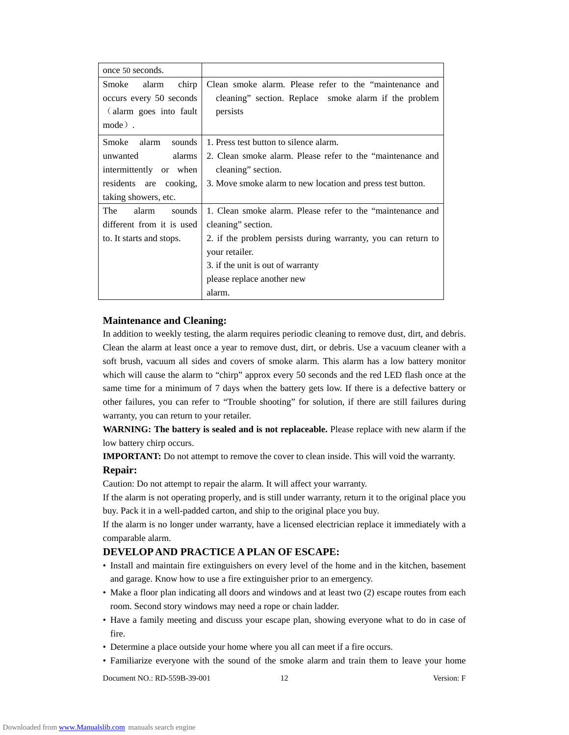| once 50 seconds.          |                                                               |
|---------------------------|---------------------------------------------------------------|
| chirp<br>Smoke<br>alarm   | Clean smoke alarm. Please refer to the "maintenance and       |
| occurs every 50 seconds   | cleaning" section. Replace smoke alarm if the problem         |
| (alarm goes into fault    | persists                                                      |
| mode).                    |                                                               |
| Smoke<br>alarm<br>sounds  | 1. Press test button to silence alarm.                        |
| alarms<br>unwanted        | 2. Clean smoke alarm. Please refer to the "maintenance and    |
| intermittently or when    | cleaning" section.                                            |
| residents are cooking,    | 3. Move smoke alarm to new location and press test button.    |
| taking showers, etc.      |                                                               |
| The<br>alarm<br>sounds    | 1. Clean smoke alarm. Please refer to the "maintenance and    |
| different from it is used | cleaning" section.                                            |
| to. It starts and stops.  | 2. if the problem persists during warranty, you can return to |
|                           | your retailer.                                                |
|                           | 3. if the unit is out of warranty                             |
|                           | please replace another new                                    |
|                           | alarm.                                                        |

#### **Maintenance and Cleaning:**

In addition to weekly testing, the alarm requires periodic cleaning to remove dust, dirt, and debris. Clean the alarm at least once a year to remove dust, dirt, or debris. Use a vacuum cleaner with a soft brush, vacuum all sides and covers of smoke alarm. This alarm has a low battery monitor which will cause the alarm to "chirp" approx every 50 seconds and the red LED flash once at the same time for a minimum of 7 days when the battery gets low. If there is a defective battery or other failures, you can refer to "Trouble shooting" for solution, if there are still failures during warranty, you can return to your retailer.

**WARNING: The battery is sealed and is not replaceable.** Please replace with new alarm if the low battery chirp occurs.

**IMPORTANT:** Do not attempt to remove the cover to clean inside. This will void the warranty.

#### **Repair:**

Caution: Do not attempt to repair the alarm. It will affect your warranty.

If the alarm is not operating properly, and is still under warranty, return it to the original place you buy. Pack it in a well-padded carton, and ship to the original place you buy.

If the alarm is no longer under warranty, have a licensed electrician replace it immediately with a comparable alarm.

# **DEVELOP AND PRACTICE A PLAN OF ESCAPE:**

- Install and maintain fire extinguishers on every level of the home and in the kitchen, basement and garage. Know how to use a fire extinguisher prior to an emergency.
- Make a floor plan indicating all doors and windows and at least two (2) escape routes from each room. Second story windows may need a rope or chain ladder.
- Have a family meeting and discuss your escape plan, showing everyone what to do in case of fire.
- Determine a place outside your home where you all can meet if a fire occurs.
- Familiarize everyone with the sound of the smoke alarm and train them to leave your home

Document NO.: RD-559B-39-001 12 Version: F